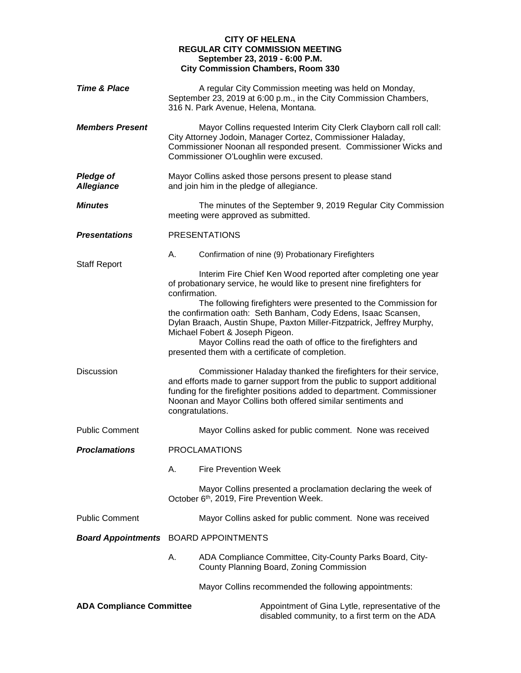## **CITY OF HELENA REGULAR CITY COMMISSION MEETING September 23, 2019 - 6:00 P.M. City Commission Chambers, Room 330**

| <b>Time &amp; Place</b>               | A regular City Commission meeting was held on Monday,<br>September 23, 2019 at 6:00 p.m., in the City Commission Chambers,<br>316 N. Park Avenue, Helena, Montana.                                                                                                                                                                                                  |                                                                                                                                           |  |
|---------------------------------------|---------------------------------------------------------------------------------------------------------------------------------------------------------------------------------------------------------------------------------------------------------------------------------------------------------------------------------------------------------------------|-------------------------------------------------------------------------------------------------------------------------------------------|--|
| <b>Members Present</b>                | Mayor Collins requested Interim City Clerk Clayborn call roll call:<br>City Attorney Jodoin, Manager Cortez, Commissioner Haladay,<br>Commissioner Noonan all responded present. Commissioner Wicks and<br>Commissioner O'Loughlin were excused.                                                                                                                    |                                                                                                                                           |  |
| <b>Pledge of</b><br><b>Allegiance</b> | Mayor Collins asked those persons present to please stand<br>and join him in the pledge of allegiance.                                                                                                                                                                                                                                                              |                                                                                                                                           |  |
| <b>Minutes</b>                        | The minutes of the September 9, 2019 Regular City Commission<br>meeting were approved as submitted.                                                                                                                                                                                                                                                                 |                                                                                                                                           |  |
| <b>Presentations</b>                  |                                                                                                                                                                                                                                                                                                                                                                     | <b>PRESENTATIONS</b>                                                                                                                      |  |
| <b>Staff Report</b>                   | Α.                                                                                                                                                                                                                                                                                                                                                                  | Confirmation of nine (9) Probationary Firefighters                                                                                        |  |
|                                       | confirmation.                                                                                                                                                                                                                                                                                                                                                       | Interim Fire Chief Ken Wood reported after completing one year<br>of probationary service, he would like to present nine firefighters for |  |
|                                       | The following firefighters were presented to the Commission for<br>the confirmation oath: Seth Banham, Cody Edens, Isaac Scansen,<br>Dylan Braach, Austin Shupe, Paxton Miller-Fitzpatrick, Jeffrey Murphy,<br>Michael Fobert & Joseph Pigeon.<br>Mayor Collins read the oath of office to the firefighters and<br>presented them with a certificate of completion. |                                                                                                                                           |  |
| <b>Discussion</b>                     | Commissioner Haladay thanked the firefighters for their service,<br>and efforts made to garner support from the public to support additional<br>funding for the firefighter positions added to department. Commissioner<br>Noonan and Mayor Collins both offered similar sentiments and<br>congratulations.                                                         |                                                                                                                                           |  |
| <b>Public Comment</b>                 |                                                                                                                                                                                                                                                                                                                                                                     | Mayor Collins asked for public comment. None was received                                                                                 |  |
| <b>Proclamations</b>                  | <b>PROCLAMATIONS</b>                                                                                                                                                                                                                                                                                                                                                |                                                                                                                                           |  |
|                                       | А.                                                                                                                                                                                                                                                                                                                                                                  | <b>Fire Prevention Week</b>                                                                                                               |  |
|                                       |                                                                                                                                                                                                                                                                                                                                                                     | Mayor Collins presented a proclamation declaring the week of<br>October 6 <sup>th</sup> , 2019, Fire Prevention Week.                     |  |
| <b>Public Comment</b>                 |                                                                                                                                                                                                                                                                                                                                                                     | Mayor Collins asked for public comment. None was received                                                                                 |  |
|                                       | <b>Board Appointments</b> BOARD APPOINTMENTS                                                                                                                                                                                                                                                                                                                        |                                                                                                                                           |  |
|                                       | А.                                                                                                                                                                                                                                                                                                                                                                  | ADA Compliance Committee, City-County Parks Board, City-<br>County Planning Board, Zoning Commission                                      |  |
|                                       |                                                                                                                                                                                                                                                                                                                                                                     | Mayor Collins recommended the following appointments:                                                                                     |  |
| <b>ADA Compliance Committee</b>       |                                                                                                                                                                                                                                                                                                                                                                     | Appointment of Gina Lytle, representative of the<br>disabled community, to a first term on the ADA                                        |  |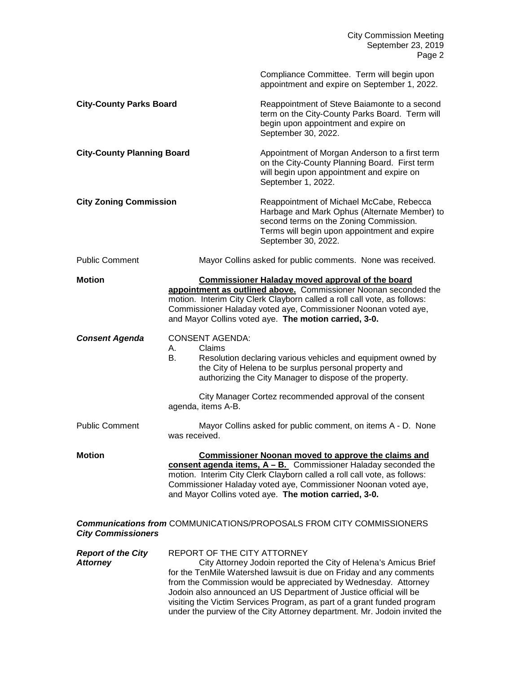|                                              |                                                                                                                                                                                                                                                                                                                                        | <b>City Commission Meeting</b><br>September 23, 2019<br>Page 2                                                                                                                                                                                                                                                                                                                                                                          |  |
|----------------------------------------------|----------------------------------------------------------------------------------------------------------------------------------------------------------------------------------------------------------------------------------------------------------------------------------------------------------------------------------------|-----------------------------------------------------------------------------------------------------------------------------------------------------------------------------------------------------------------------------------------------------------------------------------------------------------------------------------------------------------------------------------------------------------------------------------------|--|
|                                              |                                                                                                                                                                                                                                                                                                                                        | Compliance Committee. Term will begin upon<br>appointment and expire on September 1, 2022.                                                                                                                                                                                                                                                                                                                                              |  |
| <b>City-County Parks Board</b>               |                                                                                                                                                                                                                                                                                                                                        | Reappointment of Steve Baiamonte to a second<br>term on the City-County Parks Board. Term will<br>begin upon appointment and expire on<br>September 30, 2022.                                                                                                                                                                                                                                                                           |  |
| <b>City-County Planning Board</b>            |                                                                                                                                                                                                                                                                                                                                        | Appointment of Morgan Anderson to a first term<br>on the City-County Planning Board. First term<br>will begin upon appointment and expire on<br>September 1, 2022.                                                                                                                                                                                                                                                                      |  |
| <b>City Zoning Commission</b>                |                                                                                                                                                                                                                                                                                                                                        | Reappointment of Michael McCabe, Rebecca<br>Harbage and Mark Ophus (Alternate Member) to<br>second terms on the Zoning Commission.<br>Terms will begin upon appointment and expire<br>September 30, 2022.                                                                                                                                                                                                                               |  |
| <b>Public Comment</b>                        |                                                                                                                                                                                                                                                                                                                                        | Mayor Collins asked for public comments. None was received.                                                                                                                                                                                                                                                                                                                                                                             |  |
| <b>Motion</b>                                |                                                                                                                                                                                                                                                                                                                                        | Commissioner Haladay moved approval of the board<br>appointment as outlined above. Commissioner Noonan seconded the<br>motion. Interim City Clerk Clayborn called a roll call vote, as follows:<br>Commissioner Haladay voted aye, Commissioner Noonan voted aye,<br>and Mayor Collins voted aye. The motion carried, 3-0.                                                                                                              |  |
| <b>Consent Agenda</b>                        | <b>CONSENT AGENDA:</b><br>A.<br>Claims<br>В.                                                                                                                                                                                                                                                                                           | Resolution declaring various vehicles and equipment owned by<br>the City of Helena to be surplus personal property and<br>authorizing the City Manager to dispose of the property.                                                                                                                                                                                                                                                      |  |
|                                              | agenda, items A-B.                                                                                                                                                                                                                                                                                                                     | City Manager Cortez recommended approval of the consent                                                                                                                                                                                                                                                                                                                                                                                 |  |
| <b>Public Comment</b>                        | was received.                                                                                                                                                                                                                                                                                                                          | Mayor Collins asked for public comment, on items A - D. None                                                                                                                                                                                                                                                                                                                                                                            |  |
| <b>Motion</b>                                | <b>Commissioner Noonan moved to approve the claims and</b><br>consent agenda items, $A - B$ . Commissioner Haladay seconded the<br>motion. Interim City Clerk Clayborn called a roll call vote, as follows:<br>Commissioner Haladay voted aye, Commissioner Noonan voted aye,<br>and Mayor Collins voted aye. The motion carried, 3-0. |                                                                                                                                                                                                                                                                                                                                                                                                                                         |  |
| <b>City Commissioners</b>                    |                                                                                                                                                                                                                                                                                                                                        | <b>Communications from COMMUNICATIONS/PROPOSALS FROM CITY COMMISSIONERS</b>                                                                                                                                                                                                                                                                                                                                                             |  |
| <b>Report of the City</b><br><b>Attorney</b> | REPORT OF THE CITY ATTORNEY                                                                                                                                                                                                                                                                                                            | City Attorney Jodoin reported the City of Helena's Amicus Brief<br>for the TenMile Watershed lawsuit is due on Friday and any comments<br>from the Commission would be appreciated by Wednesday. Attorney<br>Jodoin also announced an US Department of Justice official will be<br>visiting the Victim Services Program, as part of a grant funded program<br>under the purview of the City Attorney department. Mr. Jodoin invited the |  |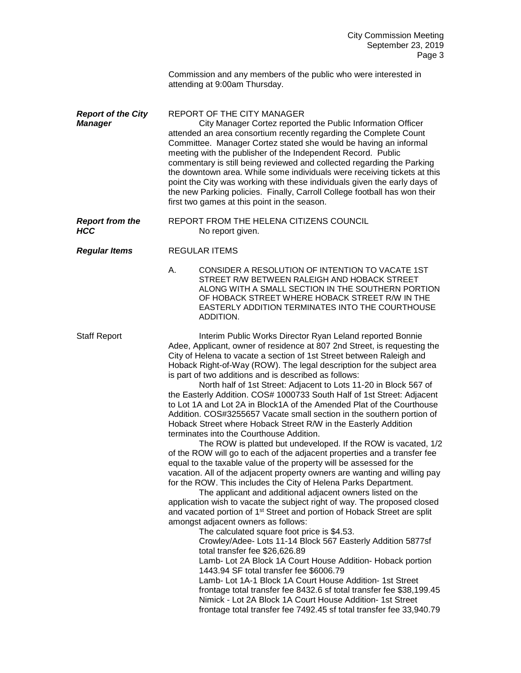Commission and any members of the public who were interested in attending at 9:00am Thursday.

**Report of the City** REPORT OF THE CITY MANAGER *Manager* City Manager Cortez reported the Public Information Officer attended an area consortium recently regarding the Complete Count Committee. Manager Cortez stated she would be having an informal meeting with the publisher of the Independent Record. Public commentary is still being reviewed and collected regarding the Parking the downtown area. While some individuals were receiving tickets at this point the City was working with these individuals given the early days of the new Parking policies. Finally, Carroll College football has won their first two games at this point in the season.

**Report from the REPORT FROM THE HELENA CITIZENS COUNCIL**<br>**HCC No report given.** No report given.

## *Regular Items* REGULAR ITEMS

A. CONSIDER A RESOLUTION OF INTENTION TO VACATE 1ST STREET R/W BETWEEN RALEIGH AND HOBACK STREET ALONG WITH A SMALL SECTION IN THE SOUTHERN PORTION OF HOBACK STREET WHERE HOBACK STREET R/W IN THE EASTERLY ADDITION TERMINATES INTO THE COURTHOUSE ADDITION.

Staff Report **Interim Public Works Director Ryan Leland reported Bonnie** Adee, Applicant, owner of residence at 807 2nd Street, is requesting the City of Helena to vacate a section of 1st Street between Raleigh and Hoback Right-of-Way (ROW). The legal description for the subject area is part of two additions and is described as follows:

> North half of 1st Street: Adjacent to Lots 11-20 in Block 567 of the Easterly Addition. COS# 1000733 South Half of 1st Street: Adjacent to Lot 1A and Lot 2A in Block1A of the Amended Plat of the Courthouse Addition. COS#3255657 Vacate small section in the southern portion of Hoback Street where Hoback Street R/W in the Easterly Addition terminates into the Courthouse Addition.

The ROW is platted but undeveloped. If the ROW is vacated, 1/2 of the ROW will go to each of the adjacent properties and a transfer fee equal to the taxable value of the property will be assessed for the vacation. All of the adjacent property owners are wanting and willing pay for the ROW. This includes the City of Helena Parks Department.

The applicant and additional adjacent owners listed on the application wish to vacate the subject right of way. The proposed closed and vacated portion of 1<sup>st</sup> Street and portion of Hoback Street are split amongst adjacent owners as follows:

The calculated square foot price is \$4.53.

Crowley/Adee- Lots 11-14 Block 567 Easterly Addition 5877sf total transfer fee \$26,626.89

Lamb- Lot 2A Block 1A Court House Addition- Hoback portion 1443.94 SF total transfer fee \$6006.79

Lamb- Lot 1A-1 Block 1A Court House Addition- 1st Street frontage total transfer fee 8432.6 sf total transfer fee \$38,199.45 Nimick - Lot 2A Block 1A Court House Addition- 1st Street frontage total transfer fee 7492.45 sf total transfer fee 33,940.79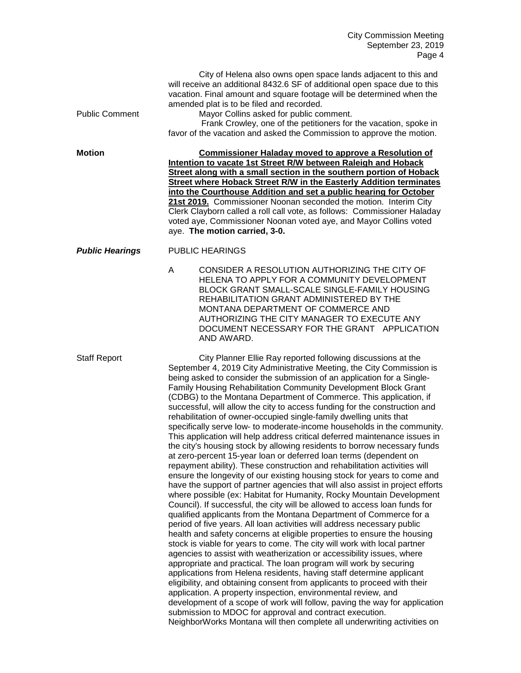| <b>Public Comment</b>  | City of Helena also owns open space lands adjacent to this and<br>will receive an additional 8432.6 SF of additional open space due to this<br>vacation. Final amount and square footage will be determined when the<br>amended plat is to be filed and recorded.<br>Mayor Collins asked for public comment.<br>Frank Crowley, one of the petitioners for the vacation, spoke in<br>favor of the vacation and asked the Commission to approve the motion.                                                                                                                                                                                                                                                                                                                                                                                                                                                                                                                                                                                                                                                                                                                                                                                                                                                                                                                                                                                                                                                                                                                                                                                                                                                                                                                                                                                                                                                                                                                                                                                                                                                             |  |  |
|------------------------|-----------------------------------------------------------------------------------------------------------------------------------------------------------------------------------------------------------------------------------------------------------------------------------------------------------------------------------------------------------------------------------------------------------------------------------------------------------------------------------------------------------------------------------------------------------------------------------------------------------------------------------------------------------------------------------------------------------------------------------------------------------------------------------------------------------------------------------------------------------------------------------------------------------------------------------------------------------------------------------------------------------------------------------------------------------------------------------------------------------------------------------------------------------------------------------------------------------------------------------------------------------------------------------------------------------------------------------------------------------------------------------------------------------------------------------------------------------------------------------------------------------------------------------------------------------------------------------------------------------------------------------------------------------------------------------------------------------------------------------------------------------------------------------------------------------------------------------------------------------------------------------------------------------------------------------------------------------------------------------------------------------------------------------------------------------------------------------------------------------------------|--|--|
| <b>Motion</b>          | <b>Commissioner Haladay moved to approve a Resolution of</b><br>Intention to vacate 1st Street R/W between Raleigh and Hoback<br>Street along with a small section in the southern portion of Hoback<br>Street where Hoback Street R/W in the Easterly Addition terminates<br>into the Courthouse Addition and set a public hearing for October<br>21st 2019. Commissioner Noonan seconded the motion. Interim City<br>Clerk Clayborn called a roll call vote, as follows: Commissioner Haladay<br>voted aye, Commissioner Noonan voted aye, and Mayor Collins voted<br>aye. The motion carried, 3-0.                                                                                                                                                                                                                                                                                                                                                                                                                                                                                                                                                                                                                                                                                                                                                                                                                                                                                                                                                                                                                                                                                                                                                                                                                                                                                                                                                                                                                                                                                                                 |  |  |
| <b>Public Hearings</b> | <b>PUBLIC HEARINGS</b>                                                                                                                                                                                                                                                                                                                                                                                                                                                                                                                                                                                                                                                                                                                                                                                                                                                                                                                                                                                                                                                                                                                                                                                                                                                                                                                                                                                                                                                                                                                                                                                                                                                                                                                                                                                                                                                                                                                                                                                                                                                                                                |  |  |
|                        | A<br>CONSIDER A RESOLUTION AUTHORIZING THE CITY OF<br>HELENA TO APPLY FOR A COMMUNITY DEVELOPMENT<br>BLOCK GRANT SMALL-SCALE SINGLE-FAMILY HOUSING<br>REHABILITATION GRANT ADMINISTERED BY THE<br>MONTANA DEPARTMENT OF COMMERCE AND<br>AUTHORIZING THE CITY MANAGER TO EXECUTE ANY<br>DOCUMENT NECESSARY FOR THE GRANT APPLICATION<br>AND AWARD.                                                                                                                                                                                                                                                                                                                                                                                                                                                                                                                                                                                                                                                                                                                                                                                                                                                                                                                                                                                                                                                                                                                                                                                                                                                                                                                                                                                                                                                                                                                                                                                                                                                                                                                                                                     |  |  |
| <b>Staff Report</b>    | City Planner Ellie Ray reported following discussions at the<br>September 4, 2019 City Administrative Meeting, the City Commission is<br>being asked to consider the submission of an application for a Single-<br>Family Housing Rehabilitation Community Development Block Grant<br>(CDBG) to the Montana Department of Commerce. This application, if<br>successful, will allow the city to access funding for the construction and<br>rehabilitation of owner-occupied single-family dwelling units that<br>specifically serve low- to moderate-income households in the community.<br>This application will help address critical deferred maintenance issues in<br>the city's housing stock by allowing residents to borrow necessary funds<br>at zero-percent 15-year loan or deferred loan terms (dependent on<br>repayment ability). These construction and rehabilitation activities will<br>ensure the longevity of our existing housing stock for years to come and<br>have the support of partner agencies that will also assist in project efforts<br>where possible (ex: Habitat for Humanity, Rocky Mountain Development<br>Council). If successful, the city will be allowed to access loan funds for<br>qualified applicants from the Montana Department of Commerce for a<br>period of five years. All loan activities will address necessary public<br>health and safety concerns at eligible properties to ensure the housing<br>stock is viable for years to come. The city will work with local partner<br>agencies to assist with weatherization or accessibility issues, where<br>appropriate and practical. The loan program will work by securing<br>applications from Helena residents, having staff determine applicant<br>eligibility, and obtaining consent from applicants to proceed with their<br>application. A property inspection, environmental review, and<br>development of a scope of work will follow, paving the way for application<br>submission to MDOC for approval and contract execution.<br>NeighborWorks Montana will then complete all underwriting activities on |  |  |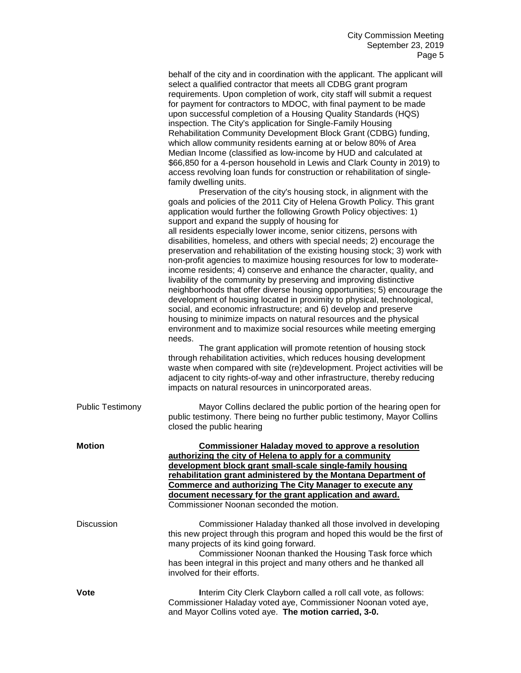|                         | behalf of the city and in coordination with the applicant. The applicant will<br>select a qualified contractor that meets all CDBG grant program<br>requirements. Upon completion of work, city staff will submit a request<br>for payment for contractors to MDOC, with final payment to be made<br>upon successful completion of a Housing Quality Standards (HQS)<br>inspection. The City's application for Single-Family Housing<br>Rehabilitation Community Development Block Grant (CDBG) funding,<br>which allow community residents earning at or below 80% of Area<br>Median Income (classified as low-income by HUD and calculated at<br>\$66,850 for a 4-person household in Lewis and Clark County in 2019) to<br>access revolving loan funds for construction or rehabilitation of single-<br>family dwelling units.<br>Preservation of the city's housing stock, in alignment with the<br>goals and policies of the 2011 City of Helena Growth Policy. This grant<br>application would further the following Growth Policy objectives: 1)<br>support and expand the supply of housing for<br>all residents especially lower income, senior citizens, persons with<br>disabilities, homeless, and others with special needs; 2) encourage the<br>preservation and rehabilitation of the existing housing stock; 3) work with<br>non-profit agencies to maximize housing resources for low to moderate-<br>income residents; 4) conserve and enhance the character, quality, and<br>livability of the community by preserving and improving distinctive<br>neighborhoods that offer diverse housing opportunities; 5) encourage the<br>development of housing located in proximity to physical, technological,<br>social, and economic infrastructure; and 6) develop and preserve<br>housing to minimize impacts on natural resources and the physical<br>environment and to maximize social resources while meeting emerging<br>needs. |
|-------------------------|------------------------------------------------------------------------------------------------------------------------------------------------------------------------------------------------------------------------------------------------------------------------------------------------------------------------------------------------------------------------------------------------------------------------------------------------------------------------------------------------------------------------------------------------------------------------------------------------------------------------------------------------------------------------------------------------------------------------------------------------------------------------------------------------------------------------------------------------------------------------------------------------------------------------------------------------------------------------------------------------------------------------------------------------------------------------------------------------------------------------------------------------------------------------------------------------------------------------------------------------------------------------------------------------------------------------------------------------------------------------------------------------------------------------------------------------------------------------------------------------------------------------------------------------------------------------------------------------------------------------------------------------------------------------------------------------------------------------------------------------------------------------------------------------------------------------------------------------------------------------------------------------------------------------------------------------------|
|                         | The grant application will promote retention of housing stock<br>through rehabilitation activities, which reduces housing development<br>waste when compared with site (re)development. Project activities will be<br>adjacent to city rights-of-way and other infrastructure, thereby reducing<br>impacts on natural resources in unincorporated areas.                                                                                                                                                                                                                                                                                                                                                                                                                                                                                                                                                                                                                                                                                                                                                                                                                                                                                                                                                                                                                                                                                                                                                                                                                                                                                                                                                                                                                                                                                                                                                                                             |
| <b>Public Testimony</b> | Mayor Collins declared the public portion of the hearing open for<br>public testimony. There being no further public testimony, Mayor Collins<br>closed the public hearing                                                                                                                                                                                                                                                                                                                                                                                                                                                                                                                                                                                                                                                                                                                                                                                                                                                                                                                                                                                                                                                                                                                                                                                                                                                                                                                                                                                                                                                                                                                                                                                                                                                                                                                                                                           |
| <b>Motion</b>           | <b>Commissioner Haladay moved to approve a resolution</b><br>authorizing the city of Helena to apply for a community<br>development block grant small-scale single-family housing<br>rehabilitation grant administered by the Montana Department of<br>Commerce and authorizing The City Manager to execute any<br>document necessary for the grant application and award.<br>Commissioner Noonan seconded the motion.                                                                                                                                                                                                                                                                                                                                                                                                                                                                                                                                                                                                                                                                                                                                                                                                                                                                                                                                                                                                                                                                                                                                                                                                                                                                                                                                                                                                                                                                                                                               |
| <b>Discussion</b>       | Commissioner Haladay thanked all those involved in developing<br>this new project through this program and hoped this would be the first of<br>many projects of its kind going forward.<br>Commissioner Noonan thanked the Housing Task force which<br>has been integral in this project and many others and he thanked all<br>involved for their efforts.                                                                                                                                                                                                                                                                                                                                                                                                                                                                                                                                                                                                                                                                                                                                                                                                                                                                                                                                                                                                                                                                                                                                                                                                                                                                                                                                                                                                                                                                                                                                                                                           |
| Vote                    | Interim City Clerk Clayborn called a roll call vote, as follows:<br>Commissioner Haladay voted aye, Commissioner Noonan voted aye,<br>and Mayor Collins voted aye. The motion carried, 3-0.                                                                                                                                                                                                                                                                                                                                                                                                                                                                                                                                                                                                                                                                                                                                                                                                                                                                                                                                                                                                                                                                                                                                                                                                                                                                                                                                                                                                                                                                                                                                                                                                                                                                                                                                                          |